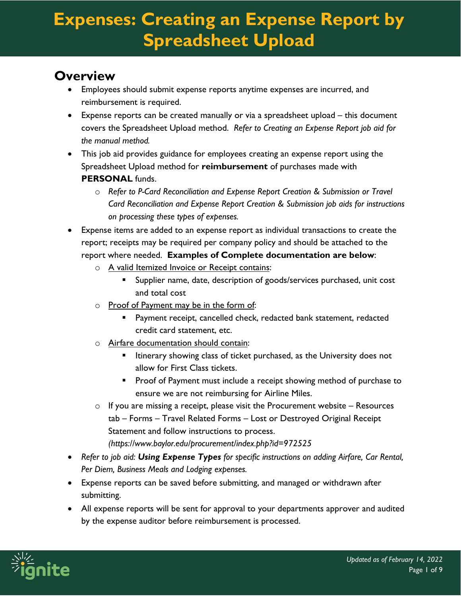#### **Overview**

- Employees should submit expense reports anytime expenses are incurred, and reimbursement is required.
- Expense reports can be created manually or via a spreadsheet upload this document covers the Spreadsheet Upload method. *Refer to Creating an Expense Report job aid for the manual method.*
- This job aid provides guidance for employees creating an expense report using the Spreadsheet Upload method for **reimbursement** of purchases made with **PERSONAL** funds.
	- o *Refer to P-Card Reconciliation and Expense Report Creation & Submission or Travel Card Reconciliation and Expense Report Creation & Submission job aids for instructions on processing these types of expenses.*
- Expense items are added to an expense report as individual transactions to create the report; receipts may be required per company policy and should be attached to the report where needed. **Examples of Complete documentation are below**:
	- o A valid Itemized Invoice or Receipt contains:
		- **Supplier name, date, description of goods/services purchased, unit cost** and total cost
	- o Proof of Payment may be in the form of:
		- Payment receipt, cancelled check, redacted bank statement, redacted credit card statement, etc.
	- o Airfare documentation should contain:
		- Itinerary showing class of ticket purchased, as the University does not allow for First Class tickets.
		- **Proof of Payment must include a receipt showing method of purchase to** ensure we are not reimbursing for Airline Miles.
	- $\circ$  If you are missing a receipt, please visit the Procurement website Resources tab – Forms – Travel Related Forms – Lost or Destroyed Original Receipt Statement and follow instructions to process. *(https://www.baylor.edu/procurement/index.php?id=972525*
- *Refer to job aid: Using Expense Types for specific instructions on adding Airfare, Car Rental, Per Diem, Business Meals and Lodging expenses.*
- Expense reports can be saved before submitting, and managed or withdrawn after submitting.
- All expense reports will be sent for approval to your departments approver and audited by the expense auditor before reimbursement is processed.

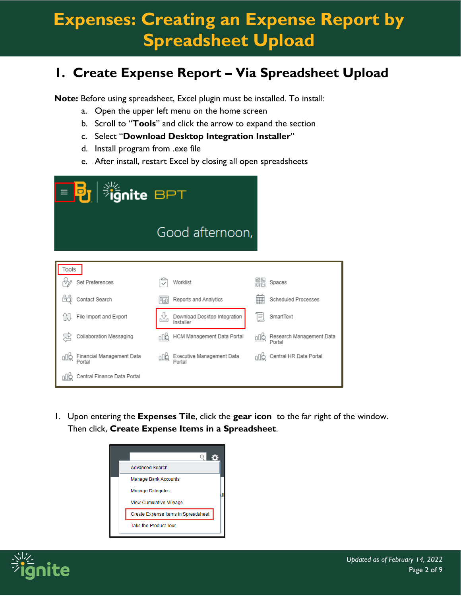#### **1. Create Expense Report – Via Spreadsheet Upload**

**Note:** Before using spreadsheet, Excel plugin must be installed. To install:

- a. Open the upper left menu on the home screen
- b. Scroll to "**Tools**" and click the arrow to expand the section
- c. Select "**Download Desktop Integration Installer**"
- d. Install program from .exe file
- e. After install, restart Excel by closing all open spreadsheets

| <b>Fignite BPT</b><br>≡ <mark>Þ</mark> т ∣ |                                                |     |                                    |  |  |  |  |  |  |
|--------------------------------------------|------------------------------------------------|-----|------------------------------------|--|--|--|--|--|--|
|                                            | Good afternoon,                                |     |                                    |  |  |  |  |  |  |
| Tools                                      |                                                |     |                                    |  |  |  |  |  |  |
| Set Preferences                            | Worklist                                       | 晶   | Spaces                             |  |  |  |  |  |  |
| Contact Search                             | Reports and Analytics<br>FloO                  | 亜   | Scheduled Processes                |  |  |  |  |  |  |
| File Import and Export                     | 쏘<br>Download Desktop Integration<br>Installer | Ξ   | SmartText                          |  |  |  |  |  |  |
| Collaboration Messaging                    | HCM Management Data Portal<br>oÛ₿              | oÛ₿ | Research Management Data<br>Portal |  |  |  |  |  |  |
| Financial Management Data<br>Portal        | Executive Management Data<br>Portal            |     | Central HR Data Portal             |  |  |  |  |  |  |
| Central Finance Data Portal                |                                                |     |                                    |  |  |  |  |  |  |

1. Upon entering the **Expenses Tile**, click the **gear icon** to the far right of the window. Then click, **Create Expense Items in a Spreadsheet**.



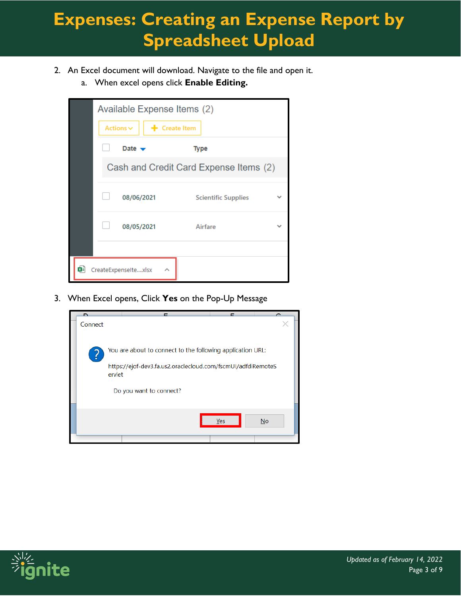- 2. An Excel document will download. Navigate to the file and open it.
	- a. When excel opens click **Enable Editing.**

|    | Available Expense Items (2)            |                            |  |  |  |  |  |  |  |
|----|----------------------------------------|----------------------------|--|--|--|--|--|--|--|
|    | $+$ Create Item<br>Actions $\sim$      |                            |  |  |  |  |  |  |  |
|    | Date $\rightarrow$                     | <b>Type</b>                |  |  |  |  |  |  |  |
|    | Cash and Credit Card Expense Items (2) |                            |  |  |  |  |  |  |  |
|    | 08/06/2021                             | <b>Scientific Supplies</b> |  |  |  |  |  |  |  |
|    | 08/05/2021                             | Airfare                    |  |  |  |  |  |  |  |
|    |                                        |                            |  |  |  |  |  |  |  |
| 여리 | CreateExpenseItexlsx                   |                            |  |  |  |  |  |  |  |

3. When Excel opens, Click **Yes** on the Pop-Up Message



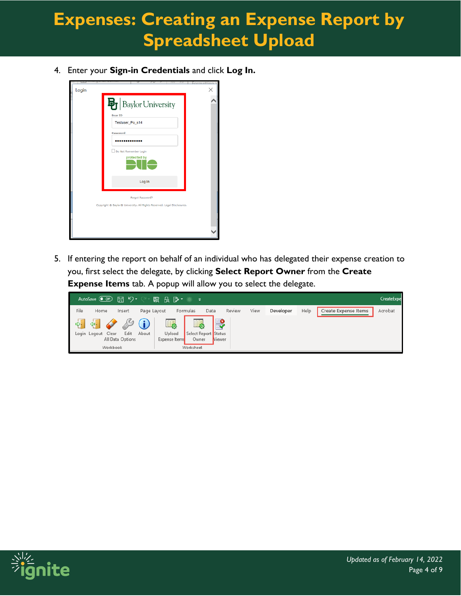4. Enter your **Sign-in Credentials** and click **Log In.**



5. If entering the report on behalf of an individual who has delegated their expense creation to you, first select the delegate, by clicking **Select Report Owner** from the **Create Expense Items** tab. A popup will allow you to select the delegate.



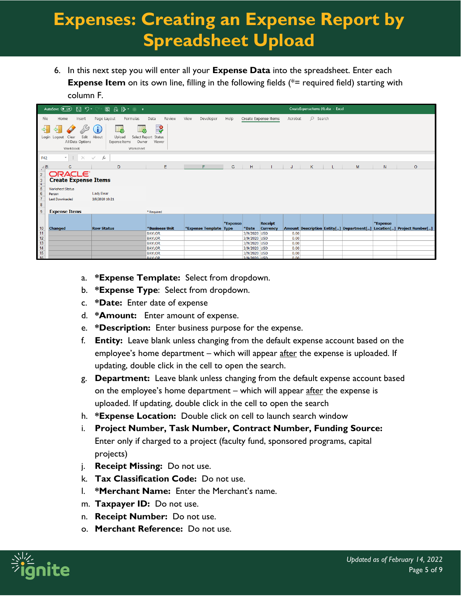6. In this next step you will enter all your **Expense Data** into the spreadsheet. Enter each **Expense Item** on its own line, filling in the following fields (\*= required field) starting with column F.

|                                                                 | 日 り・<br>AutoSave <b>O</b> Off                                                 | 取 た ゆ こ<br>$\bullet$ $\bullet$                         |                                                 |                        |          |                       |                      |         | CreateExpenseltems (4).xlsx - Excel |    |   |              |                                                                      |
|-----------------------------------------------------------------|-------------------------------------------------------------------------------|--------------------------------------------------------|-------------------------------------------------|------------------------|----------|-----------------------|----------------------|---------|-------------------------------------|----|---|--------------|----------------------------------------------------------------------|
| File                                                            | Home<br>Insert                                                                | Page Layout<br>Formulas                                | Data<br>Review                                  | View<br>Developer      | Help     |                       | Create Expense Items | Acrobat | $O$ Search                          |    |   |              |                                                                      |
| $\Rightarrow$                                                   | ⇔ŀ<br>Edit<br>Login Logout<br>Clear<br>All Data Options<br>Workbook           | About<br>Upload<br>Owner<br>Expense Items<br>Worksheet | $\Rightarrow$<br>Select Report Status<br>Viewer |                        |          |                       |                      |         |                                     |    |   |              |                                                                      |
| F42                                                             | $\mathbf{v} = \mathbf{1}$ .<br>$\times$                                       | $f_x$<br>$\checkmark$                                  |                                                 |                        |          |                       |                      |         |                                     |    |   |              |                                                                      |
| $\blacksquare$                                                  | c                                                                             | D                                                      | E                                               | F                      | G        | н                     | $\mathbf{L}$         | J.      | K                                   | L. | M | $\mathsf{N}$ | $\circ$                                                              |
| $\overline{2}$<br>$\frac{3}{4}$<br>$\frac{5}{6}$                | ORACLE <sup>®</sup><br><b>Create Expense Items</b><br><b>Worksheet Status</b> | <b>Lady Bear</b>                                       |                                                 |                        |          |                       |                      |         |                                     |    |   |              |                                                                      |
| $\overline{7}$<br>$\boldsymbol{8}$                              | Person<br><b>Last Downloaded</b>                                              | 3/9/2020 10:21                                         |                                                 |                        |          |                       |                      |         |                                     |    |   |              |                                                                      |
| 9                                                               | <b>Expense Items</b>                                                          |                                                        | * Required                                      |                        |          |                       |                      |         |                                     |    |   |              |                                                                      |
|                                                                 |                                                                               |                                                        |                                                 |                        | *Expense |                       | <b>Receipt</b>       |         |                                     |    |   | *Expense     |                                                                      |
|                                                                 | <b>Changed</b>                                                                | <b>Row Status</b>                                      | *Business Unit<br><b>BAYLOR</b>                 | *Expense Template Type |          | *Date<br>3/9/2020 USD | <b>Currency</b>      | 0.00    |                                     |    |   |              | Amount Description Entity[] Department[] Location[] Project Number[] |
|                                                                 |                                                                               |                                                        | <b>BAYLOR</b>                                   |                        |          | 3/9/2020 USD          |                      | 0.00    |                                     |    |   |              |                                                                      |
|                                                                 |                                                                               |                                                        | <b>BAYLOR</b>                                   |                        |          | 3/9/2020 USD          |                      | 0.00    |                                     |    |   |              |                                                                      |
| $\frac{10}{11}$ $\frac{12}{13}$ $\frac{14}{14}$ $\frac{15}{16}$ |                                                                               |                                                        | <b>BAYLOR</b>                                   |                        |          | 3/9/2020 USD          |                      | 0.00    |                                     |    |   |              |                                                                      |
|                                                                 |                                                                               |                                                        | <b>BAYLOR</b>                                   |                        |          | 3/9/2020 USD          |                      | 0.00    |                                     |    |   |              |                                                                      |
|                                                                 |                                                                               |                                                        | <b>RAVIOR</b>                                   |                        |          | 3/0/2020 1150         |                      | n nn    |                                     |    |   |              |                                                                      |

- a. **\*Expense Template:** Select from dropdown.
- b. **\*Expense Type**: Select from dropdown.
- c. **\*Date:** Enter date of expense
- d. **\*Amount:** Enter amount of expense.
- e. **\*Description:** Enter business purpose for the expense.
- f. **Entity:** Leave blank unless changing from the default expense account based on the employee's home department – which will appear after the expense is uploaded. If updating, double click in the cell to open the search.
- g. **Department:** Leave blank unless changing from the default expense account based on the employee's home department – which will appear after the expense is uploaded. If updating, double click in the cell to open the search
- h. **\*Expense Location:** Double click on cell to launch search window
- i. **Project Number, Task Number, Contract Number, Funding Source:**  Enter only if charged to a project (faculty fund, sponsored programs, capital projects)
- j. **Receipt Missing:** Do not use.
- k. **Tax Classification Code:** Do not use.
- l. **\*Merchant Name:** Enter the Merchant's name.
- m. **Taxpayer ID:** Do not use.
- n. **Receipt Number:** Do not use.
- o. **Merchant Reference:** Do not use.

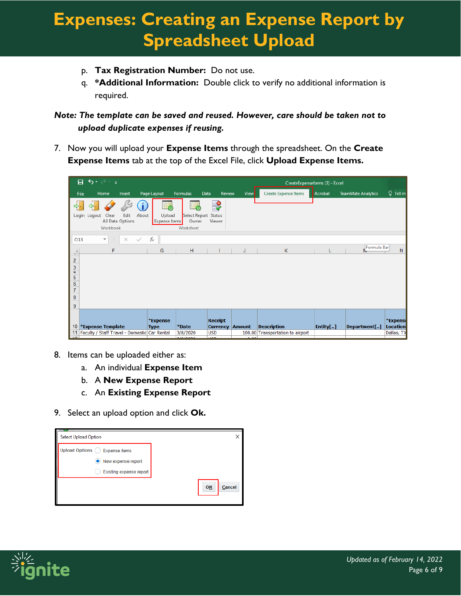- p. **Tax Registration Number:** Do not use.
- q. **\*Additional Information:** Double click to verify no additional information is required.

*Note: The template can be saved and reused. However, care should be taken not to upload duplicate expenses if reusing.*

7. Now you will upload your **Expense Items** through the spreadsheet. On the **Create Expense Items** tab at the top of the Excel File, click **Upload Expense Items.**

|                                                                                       | $5 - 7 - 7$<br>日                                |                                   |                               |                                            |                                   |               |                                  | CreateExpenseltems (3) - Excel |                    |                             |
|---------------------------------------------------------------------------------------|-------------------------------------------------|-----------------------------------|-------------------------------|--------------------------------------------|-----------------------------------|---------------|----------------------------------|--------------------------------|--------------------|-----------------------------|
|                                                                                       | Home<br>File                                    | Insert                            | Page Layout                   | Formulas                                   | Review<br>Data                    | <b>View</b>   | Create Expense Items             | Acrobat                        | TeamMate Analytics | $Q$ Tell m                  |
|                                                                                       | ⇦<br>Clear<br>Login<br>Logout<br>Workbook       | Edit<br>About<br>All Data Options | L.<br>Upload<br>Expense Items | Select Report Status<br>Owner<br>Worksheet | ₽<br>Viewer                       |               |                                  |                                |                    |                             |
| O <sub>13</sub>                                                                       | ÷<br>$\overline{\phantom{a}}$<br>F              | $\times$<br>✓                     | $f_x$<br>G                    | H                                          |                                   |               | K                                |                                | Formula Bar        | $\mathsf{N}$                |
| $\mathbf{r}$<br>$\overline{c}$<br>3<br>4<br>$\frac{5}{6}$<br>$\overline{7}$<br>8<br>9 |                                                 |                                   |                               |                                            |                                   |               |                                  |                                |                    |                             |
| 10                                                                                    | *Expense Template                               |                                   | *Expense<br><b>Type</b>       | *Date                                      | <b>Receipt</b><br><b>Currency</b> | <b>Amount</b> | <b>Description</b>               | Entity[]                       | Department[]       | *Expense<br><b>Location</b> |
|                                                                                       | 11 Faculty / Staff Travel - Domestic Car Rental |                                   |                               | 3/8/2020                                   | <b>USD</b>                        |               | 100.00 Transportation to airport |                                |                    | Dallas, TX                  |

- 8. Items can be uploaded either as:
	- a. An individual **Expense Item**
	- b. A **New Expense Report**
	- c. An **Existing Expense Report**
- 9. Select an upload option and click **Ok.**

| <b>Select Upload Option</b>              |    |        |
|------------------------------------------|----|--------|
| Upload Options (<br><b>Expense items</b> |    |        |
| $\bullet$ New expense report             |    |        |
| Existing expense report                  |    |        |
|                                          | OK | Cancel |

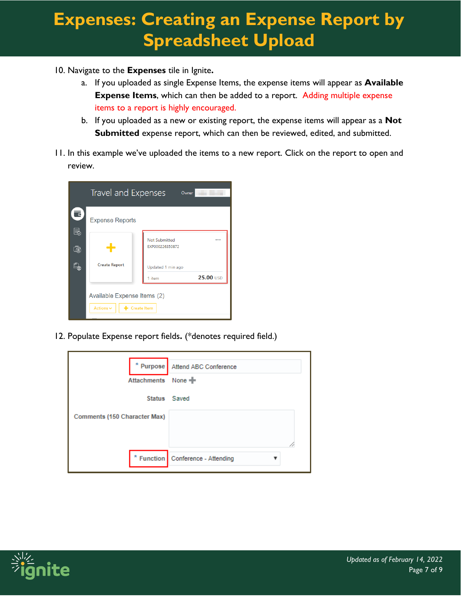- 10. Navigate to the **Expenses** tile in Ignite**.**
	- a. If you uploaded as single Expense Items, the expense items will appear as **Available Expense Items**, which can then be added to a report. Adding multiple expense items to a report is highly encouraged.
	- b. If you uploaded as a new or existing report, the expense items will appear as a **Not Submitted** expense report, which can then be reviewed, edited, and submitted.
- 11. In this example we've uploaded the items to a new report. Click on the report to open and review.

|        | Travel and Expenses                                              | Owner                                   |           |  |  |  |  |
|--------|------------------------------------------------------------------|-----------------------------------------|-----------|--|--|--|--|
| ਵ<br>B | <b>Expense Reports</b>                                           |                                         |           |  |  |  |  |
| Ġ      |                                                                  | <b>Not Submitted</b><br>EXP000226350872 | 0.001     |  |  |  |  |
| 2      | <b>Create Report</b>                                             | Updated 1 min ago                       |           |  |  |  |  |
|        |                                                                  | 1 item                                  | 25.00 USD |  |  |  |  |
|        | Available Expense Items (2)<br>$+$ Create Item<br>Actions $\vee$ |                                         |           |  |  |  |  |

12. Populate Expense report fields**.** (\*denotes required field.)

|                              | * Purpose Attend ABC Conference     |
|------------------------------|-------------------------------------|
| Attachments None             |                                     |
|                              | Status Saved                        |
| Comments (150 Character Max) |                                     |
|                              |                                     |
|                              | * Function   Conference - Attending |

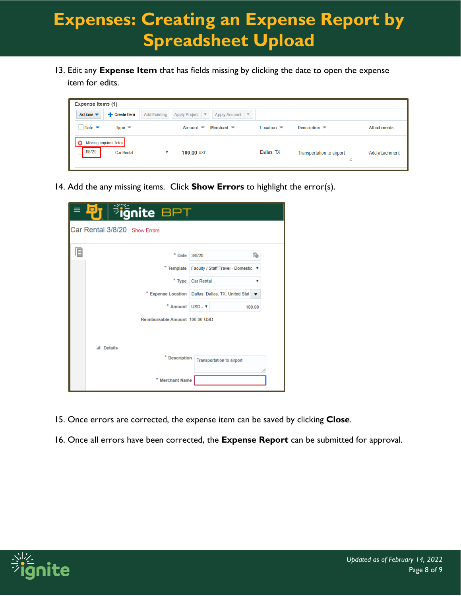13. Edit any **Expense Item** that has fields missing by clicking the date to open the expense item for edits.

| <b>Expense Items (1)</b>                                   |                                                                                              |                               |                                  |                    |
|------------------------------------------------------------|----------------------------------------------------------------------------------------------|-------------------------------|----------------------------------|--------------------|
| <b>Exercise</b> Item<br>Actions $\blacktriangledown$       | <b>Add Existing</b><br><b>Apply Project</b><br>$\mathbf{v}$<br>Apply Account $\triangledown$ |                               |                                  |                    |
| Date $\blacktriangledown$<br>Type $\overline{\phantom{a}}$ | Merchant $\blacktriangledown$<br>Amount $\blacktriangledown$                                 | Location $\blacktriangledown$ | Description $\blacktriangledown$ | <b>Attachments</b> |
| Missing required fields<br>3/8/20<br><b>Car Rental</b>     | 100.00 USD                                                                                   | Dallas, TX                    | Transportation to airport<br>W   | *Add attachment    |

14. Add the any missing items. Click **Show Errors** to highlight the error(s).

| gnite BPT                      |                                     |                                     |  |  |
|--------------------------------|-------------------------------------|-------------------------------------|--|--|
| Car Rental 3/8/20 Show Errors  |                                     |                                     |  |  |
| $*$ Date                       | 3/8/20                              | t,                                  |  |  |
| * Template                     |                                     | Faculty / Staff Travel - Domestic ▼ |  |  |
| $*$ Type                       | <b>Car Rental</b>                   | v                                   |  |  |
| * Expense Location             |                                     | Dallas, Dallas, TX, United Stat     |  |  |
|                                | * Amount USD - $\blacktriangledown$ | 100.00                              |  |  |
| Reimbursable Amount 100.00 USD |                                     |                                     |  |  |
|                                |                                     |                                     |  |  |
| <b>Details</b>                 |                                     |                                     |  |  |
| * Description                  |                                     | <b>Transportation to airport</b>    |  |  |
|                                |                                     |                                     |  |  |
| * Merchant Name                |                                     |                                     |  |  |

- 15. Once errors are corrected, the expense item can be saved by clicking **Close**.
- 16. Once all errors have been corrected, the **Expense Report** can be submitted for approval.